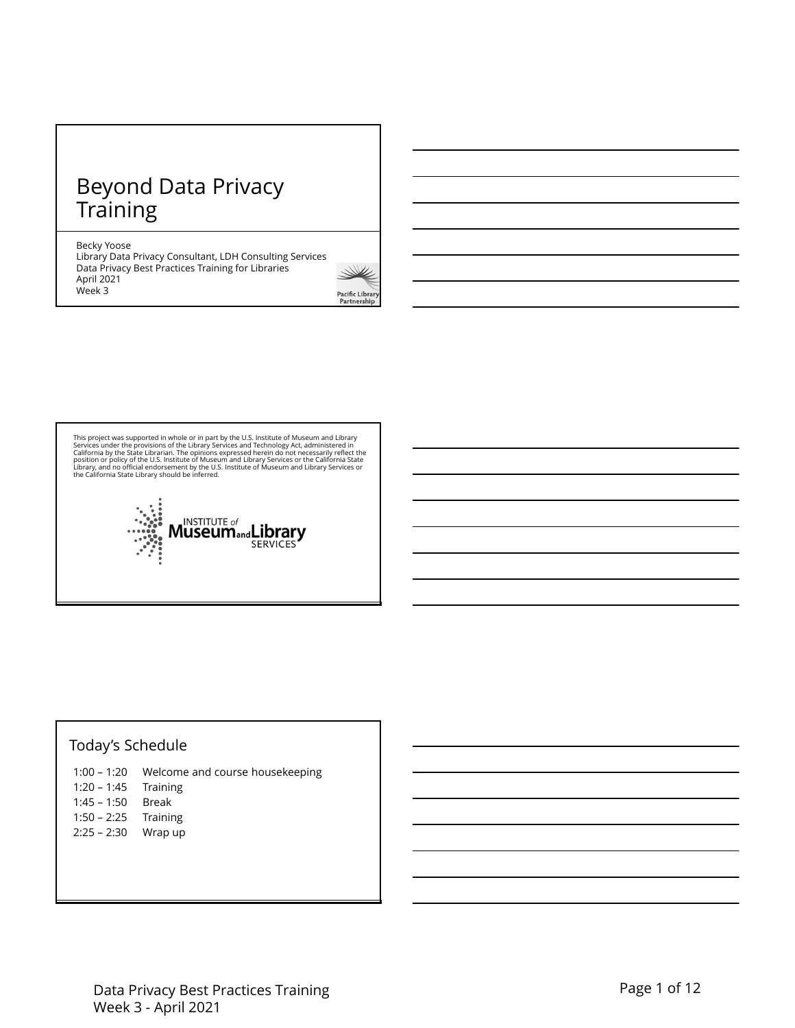# Beyond Data Privacy **Training**

### Becky Yoose

Library Data Privacy Consultant, LDH Consulting Services Data Privacy Best Practices Training for Libraries April 2021 Week 3



This project was supported in whole or in part by the U.S. Institute of Museum and Library<br>Services under the provisions of the Library Services and Technology Act, administered in<br>California by the State Librarian. The op



# Today's Schedule

|                        | 1:00 – 1:20 Welcome and course housekeeping |
|------------------------|---------------------------------------------|
| $1:20 - 1:45$ Training |                                             |
| $1:45 - 1:50$ Break    |                                             |
| $1:50 - 2:25$ Training |                                             |
| $2:25 - 2:30$ Wrap up  |                                             |
|                        |                                             |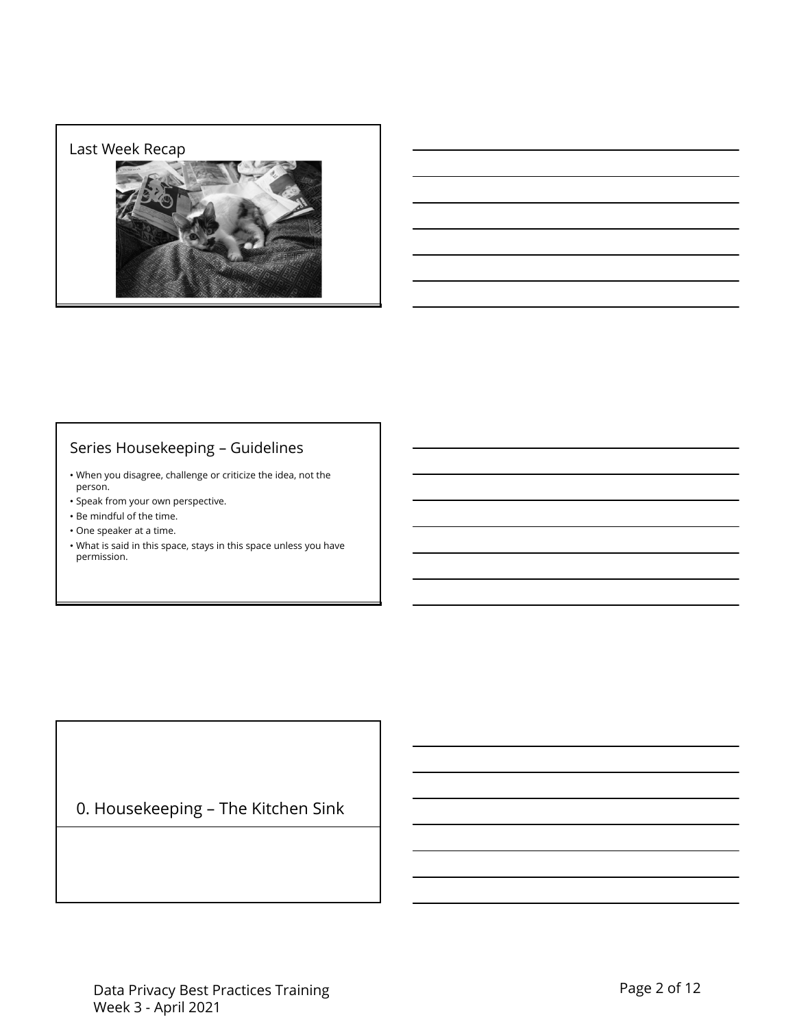### Last Week Recap



# Series Housekeeping – Guidelines

- When you disagree, challenge or criticize the idea, not the person.
- Speak from your own perspective.
- Be mindful of the time.
- One speaker at a time.
- What is said in this space, stays in this space unless you have permission.

# 0. Housekeeping – The Kitchen Sink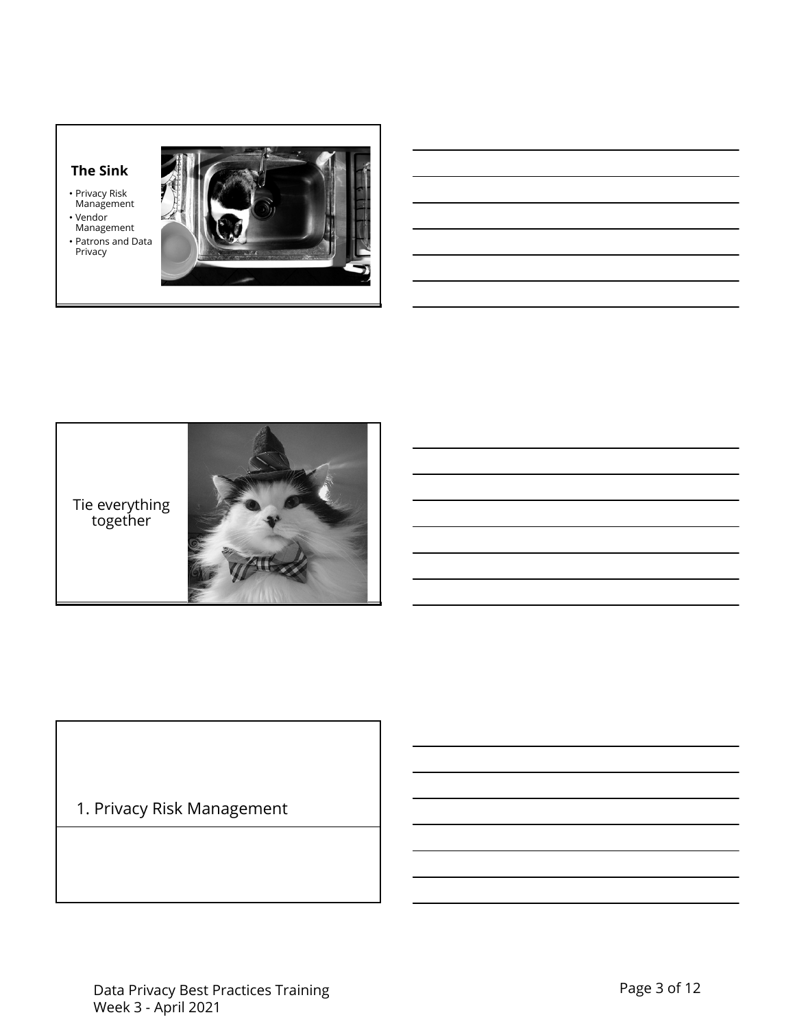# **The Sink**

- Privacy Risk Management
- Vendor Management
- Patrons and Data Privacy





# 1. Privacy Risk Management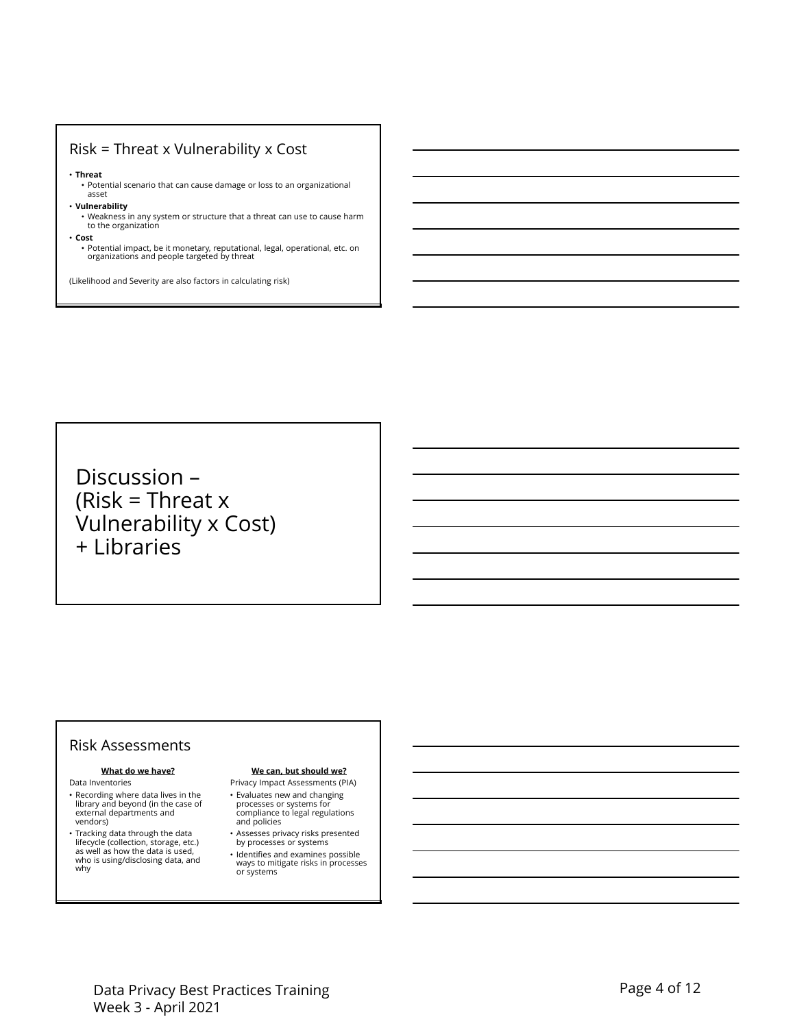### Risk = Threat x Vulnerability x Cost

### • **Threat**

• Potential scenario that can cause damage or loss to an organizational asset

- **Vulnerability**
	- Weakness in any system or structure that a threat can use to cause harm to the organization
- **Cost**

• Potential impact, be it monetary, reputational, legal, operational, etc. on organizations and people targeted by threat

(Likelihood and Severity are also factors in calculating risk)

Discussion – (Risk = Threat  $x$ Vulnerability x Cost) + Libraries

### Risk Assessments

### **What do we have?**

- Data Inventories
- Recording where data lives in the library and beyond (in the case of external departments and vendors)
- Tracking data through the data lifecycle (collection, storage, etc.) as well as how the data is used, who is using/disclosing data, and why

### **We can, but should we?**

- Privacy Impact Assessments (PIA) • Evaluates new and changing
- processes or systems for compliance to legal regulations and policies
- Assesses privacy risks presented by processes or systems
- Identifies and examines possible ways to mitigate risks in processes or systems

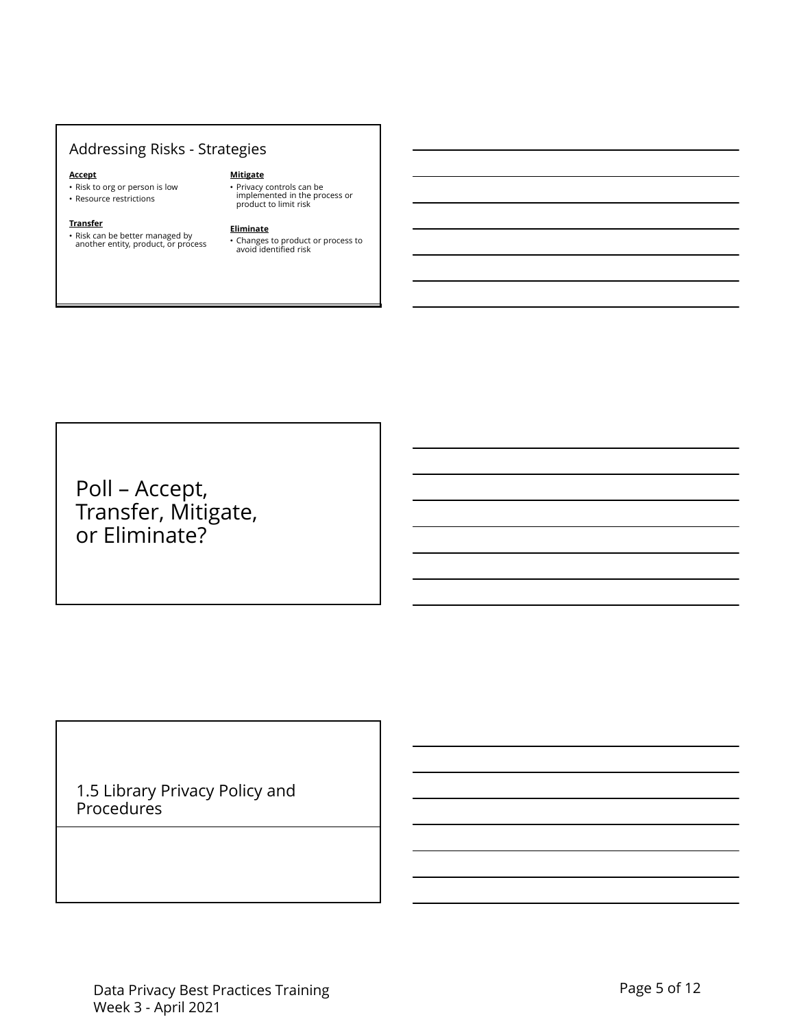# Addressing Risks - Strategies

### **Accept**

**Transfer**

- Risk to org or person is low
- Resource restrictions

# • Risk can be better managed by another entity, product, or process

**Mitigate**

**Eliminate** • Changes to product or process to avoid identified risk

• Privacy controls can be implemented in the process or product to limit risk

Poll – Accept, Transfer, Mitigate, or Eliminate?

1.5 Library Privacy Policy and Procedures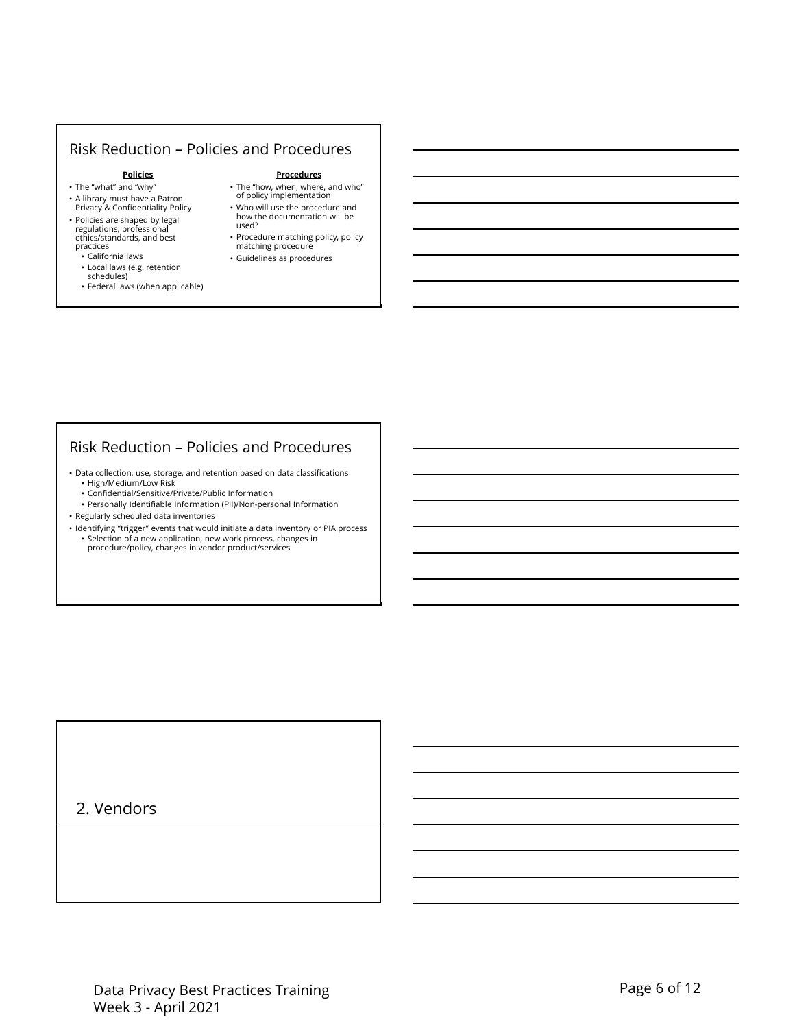### Risk Reduction – Policies and Procedures

### **Policies**

- The "what" and "why"
- A library must have a Patron Privacy & Confidentiality Policy • Policies are shaped by legal
- regulations, professional ethics/standards, and best practices • California laws
- Local laws (e.g. retention
- schedules)
- Federal laws (when applicable)
- **Procedures**
- The "how, when, where, and who" of policy implementation • Who will use the procedure and how the documentation will be
- used? • Procedure matching policy, policy matching procedure
- Guidelines as procedures

### Risk Reduction – Policies and Procedures

• Data collection, use, storage, and retention based on data classifications • High/Medium/Low Risk

- Confidential/Sensitive/Private/Public Information
- Personally Identifiable Information (PII)/Non-personal Information
- Regularly scheduled data inventories
- Identifying "trigger" events that would initiate a data inventory or PIA process • Selection of a new application, new work process, changes in procedure/policy, changes in vendor product/services

# 2. Vendors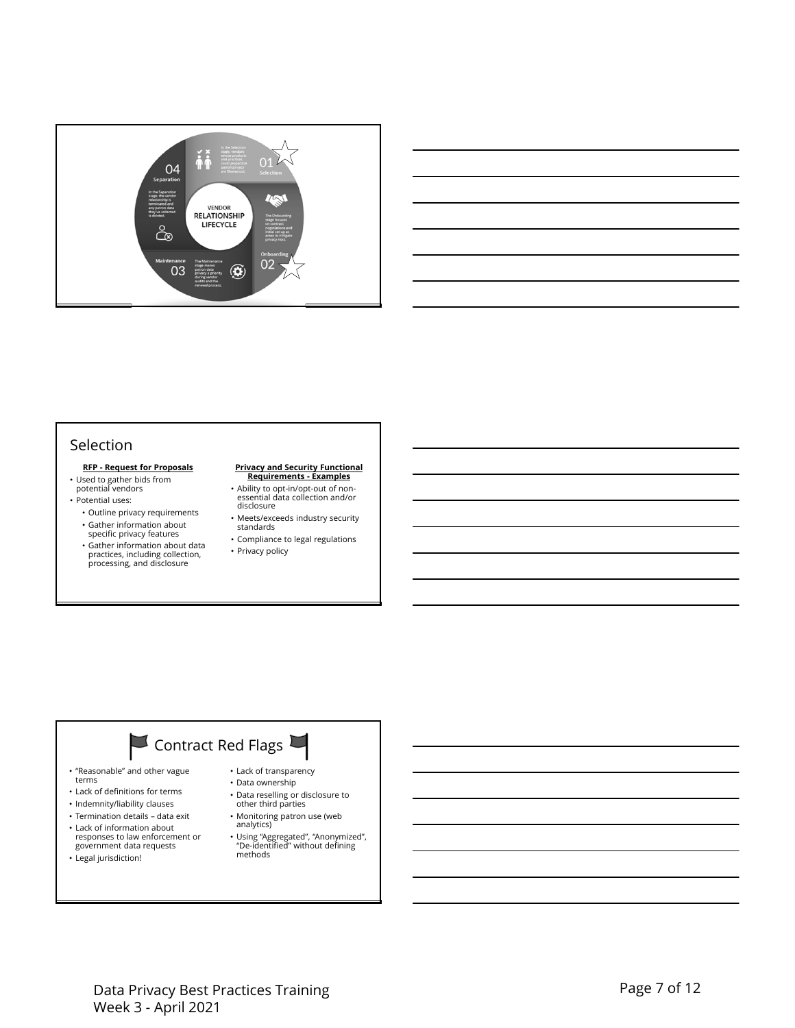

### Selection

### **RFP - Request for Proposals**

- Used to gather bids from potential vendors
- Potential uses:
	- Outline privacy requirements • Gather information about specific privacy features
	- Gather information about data practices, including collection, processing, and disclosure

## **Privacy and Security Functional Requirements - Examples**

- Ability to opt-in/opt-out of non-essential data collection and/or disclosure
- Meets/exceeds industry security standards
- Compliance to legal regulations • Privacy policy

# Contract Red Flags

- "Reasonable" and other vague
- terms • Lack of definitions for terms
- Indemnity/liability clauses
- Termination details data exit
- 
- Lack of information about responses to law enforcement or government data requests • Legal jurisdiction!
- - Lack of transparency • Data ownership
	- Data reselling or disclosure to
	- other third parties
	- Monitoring patron use (web
	- analytics)
	- Using "Aggregated", "Anonymized", "De-identified" without defining methods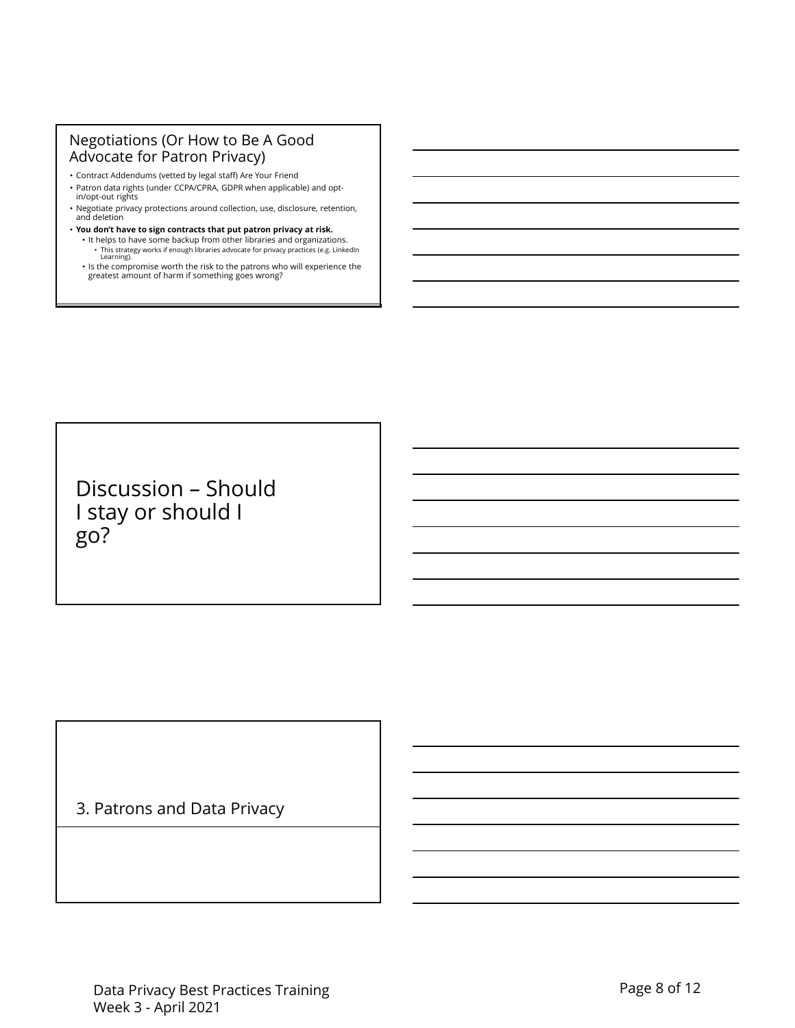## Negotiations (Or How to Be A Good Advocate for Patron Privacy)

- Contract Addendums (vetted by legal staff) Are Your Friend
- Patron data rights (under CCPA/CPRA, GDPR when applicable) and opt-in/opt-out rights
- Negotiate privacy protections around collection, use, disclosure, retention, and deletion
- **You don't have to sign contracts that put patron privacy at risk.**
	- It helps to have some backup from other libraries and organizations. • This strategy works if enough libraries advocate for privacy practices (e.g. LinkedIn Learning).
	- Is the compromise worth the risk to the patrons who will experience the greatest amount of harm if something goes wrong?

Discussion – Should I stay or should I go?

3. Patrons and Data Privacy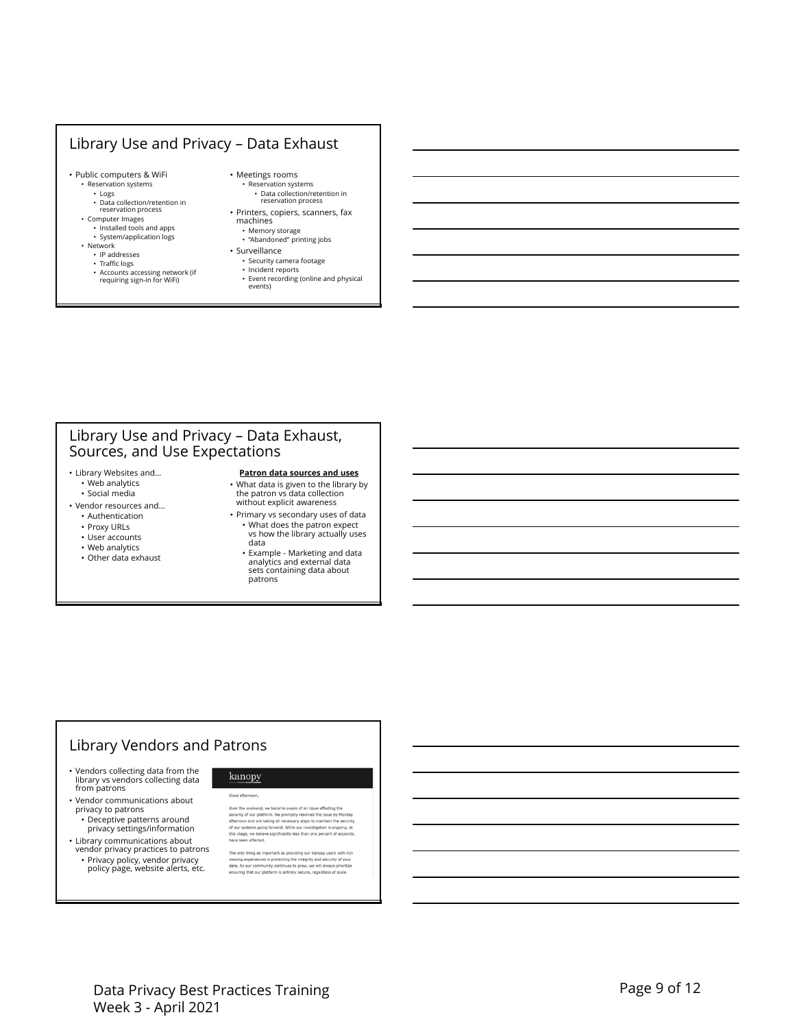### Library Use and Privacy – Data Exhaust

- Public computers & WiFi • Reservation systems
	- Logs
	- Data collection/retention in reservation process
	- Computer Images
	- Installed tools and apps • System/application logs
	- Network
		- IP addresses
		- Traffic logs
		- Accounts accessing network (if requiring sign-in for WiFi)
- Meetings rooms • Reservation systems • Data collection/retention in
- reservation process • Printers, copiers, scanners, fax machines
- Memory storage "Abandoned" printing jobs
- Surveillance
	- Security camera footage
	- Incident reports
	- Event recording (online and physical events)

### Library Use and Privacy – Data Exhaust, Sources, and Use Expectations

- Library Websites and… • Web analytics • Social media
- Vendor resources and…
	- Authentication
	- Proxy URLs
	- User accounts
	- Web analytics
	- Other data exhaust

### **Patron data sources and uses** • What data is given to the library by the patron vs data collection

- without explicit awareness • Primary vs secondary uses of data • What does the patron expect vs how the library actually uses
	- data • Example - Marketing and data analytics and external data sets containing data about patrons

# Library Vendors and Patrons

- Vendors collecting data from the library vs vendors collecting data from patrons
- Vendor communications about privacy to patrons
	- Deceptive patterns around privacy settings/information
- Library communications about vendor privacy practices to patrons
	- Privacy policy, vendor privacy policy page, website alerts, etc.

kanopy Good afternoon

Over the weekend, we became aware of an issue affecting the<br>security of our platform. We promptly resolved the issue by Monday<br>afternoon and are taking all necessary steps to maintain the security<br>of our systems going forw

The only thing as important as providing our Kanopy users with rich<br>viewing experiences is protecting the integrity and security of your<br>deta. As our community continues to grow, we will always prioritize<br>ensuring that our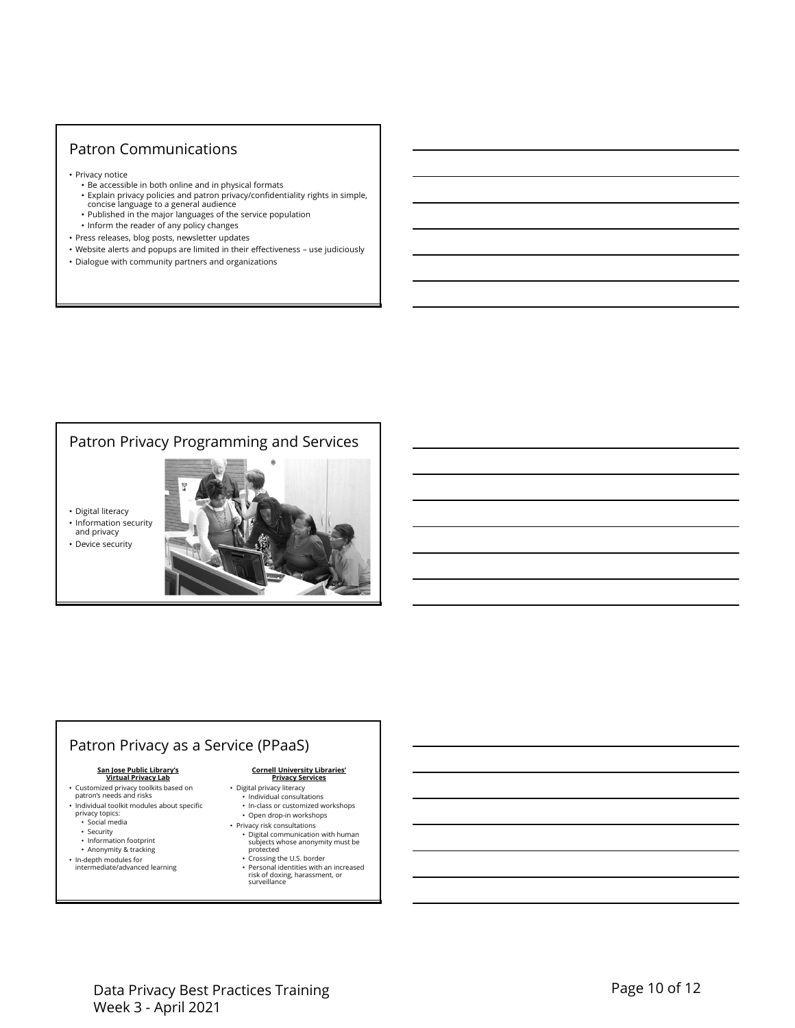## Patron Communications

- Privacy notice
	- Be accessible in both online and in physical formats
	- Explain privacy policies and patron privacy/confidentiality rights in simple, concise language to a general audience
	- Published in the major languages of the service population
- Inform the reader of any policy changes
- Press releases, blog posts, newsletter updates
- Website alerts and popups are limited in their effectiveness use judiciously
- Dialogue with community partners and organizations

# Patron Privacy Programming and Services

• Digital literacy



• Device security



# Patron Privacy as a Service (PPaaS)

### **San Jose Public Library's Virtual Privacy Lab**

- Customized privacy toolkits based on patron's needs and risks
- Individual toolkit modules about specific privacy topics: • Social media
	-
	- Security Information footprint
	- Anonymity & tracking
	-
- In-depth modules for intermediate/advanced learning

### **Cornell University Libraries' Privacy Services**

- Digital privacy literacy
	- Individual consultations
	- In-class or customized workshops
- Open drop-in workshops • Privacy risk consultations
- Digital communication with human subjects whose anonymity must be protected
- Crossing the U.S. border Personal identities with an increased risk of doxing, harassment, or surveillance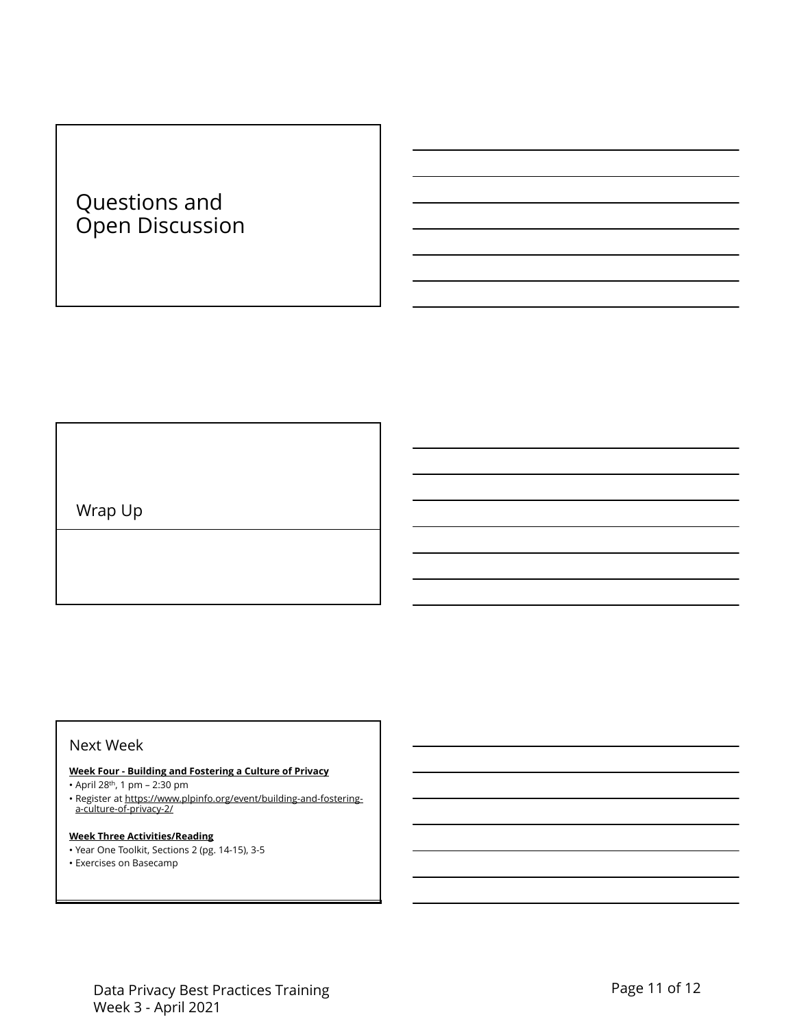# Questions and Open Discussion

Wrap Up

### Next Week

- **Week Four Building and Fostering a Culture of Privacy**
- April 28th, 1 pm 2:30 pm
- Register at https://www.plpinfo.org/event/building-and-fostering-a-culture-of-privacy-2/

### **Week Three Activities/Reading**

- Year One Toolkit, Sections 2 (pg. 14-15), 3-5
- Exercises on Basecamp